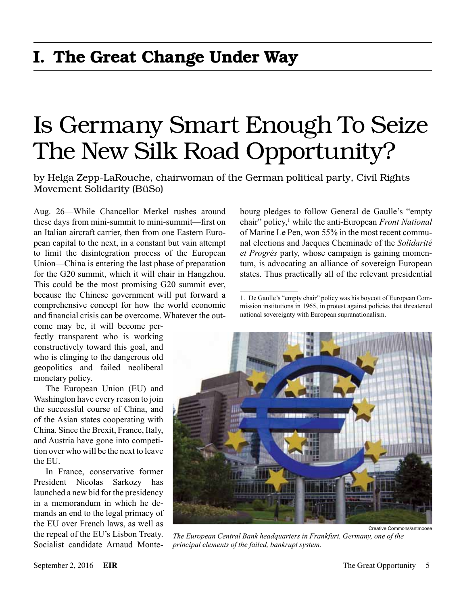# Is Germany Smart Enough To Seize The New Silk Road Opportunity?

by Helga Zepp-LaRouche, chairwoman of the German political party, Civil Rights Movement Solidarity (BüSo)

Aug. 26—While Chancellor Merkel rushes around these days from mini-summit to mini-summit—first on an Italian aircraft carrier, then from one Eastern European capital to the next, in a constant but vain attempt to limit the disintegration process of the European Union—China is entering the last phase of preparation for the G20 summit, which it will chair in Hangzhou. This could be the most promising G20 summit ever, because the Chinese government will put forward a comprehensive concept for how the world economic and financial crisis can be overcome. Whatever the out-

come may be, it will become perfectly transparent who is working constructively toward this goal, and who is clinging to the dangerous old geopolitics and failed neoliberal monetary policy.

The European Union (EU) and Washington have every reason to join the successful course of China, and of the Asian states cooperating with China. Since the Brexit, France, Italy, and Austria have gone into competition over who will be the next to leave the EU.

In France, conservative former President Nicolas Sarkozy has launched a new bid for the presidency in a memorandum in which he demands an end to the legal primacy of the EU over French laws, as well as the repeal of the EU's Lisbon Treaty. Socialist candidate Arnaud Montebourg pledges to follow General de Gaulle's "empty chair" policy,<sup>1</sup> while the anti-European *Front National* of Marine Le Pen, won 55% in the most recent communal elections and Jacques Cheminade of the *Solidarité et Progrès* party, whose campaign is gaining momentum, is advocating an alliance of sovereign European states. Thus practically all of the relevant presidential

<sup>1.</sup> De Gaulle's "empty chair" policy was his boycott of European Commission institutions in 1965, in protest against policies that threatened national sovereignty with European supranationalism.



*The European Central Bank headquarters in Frankfurt, Germany, one of the principal elements of the failed, bankrupt system.*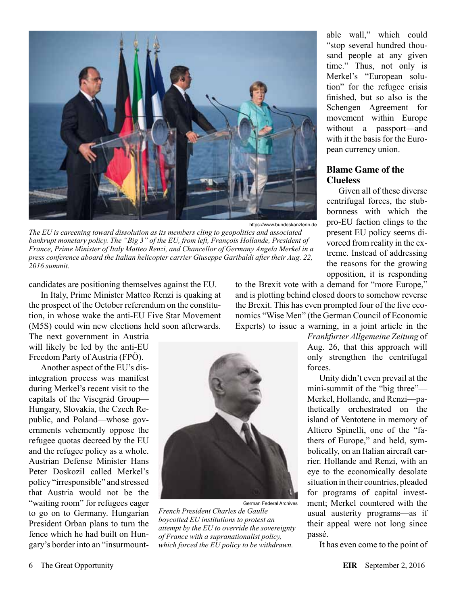

https://www.bundeskanzlerin.de

*The EU is careening toward dissolution as its members cling to geopolitics and associated bankrupt monetary policy. The "Big 3" of the EU, from left, François Hollande, President of France, Prime Minister of Italy Matteo Renzi, and Chancellor of Germany Angela Merkel in a press conference aboard the Italian helicopter carrier Giuseppe Garibaldi after their Aug. 22, 2016 summit.*

candidates are positioning themselves against the EU.

In Italy, Prime Minister Matteo Renzi is quaking at the prospect of the October referendum on the constitution, in whose wake the anti-EU Five Star Movement (M5S) could win new elections held soon afterwards.

The next government in Austria will likely be led by the anti-EU Freedom Party of Austria (FPÖ).

Another aspect of the EU's disintegration process was manifest during Merkel's recent visit to the capitals of the Visegrád Group— Hungary, Slovakia, the Czech Republic, and Poland—whose governments vehemently oppose the refugee quotas decreed by the EU and the refugee policy as a whole. Austrian Defense Minister Hans Peter Doskozil called Merkel's policy "irresponsible" and stressed that Austria would not be the "waiting room" for refugees eager to go on to Germany. Hungarian President Orban plans to turn the fence which he had built on Hungary's border into an "insurmount-



German Federal Archives *French President Charles de Gaulle boycotted EU institutions to protest an attempt by the EU to override the sovereignty of France with a supranationalist policy, which forced the EU policy to be withdrawn.*

able wall," which could "stop several hundred thousand people at any given time." Thus, not only is Merkel's "European solution" for the refugee crisis finished, but so also is the Schengen Agreement for movement within Europe without a passport—and with it the basis for the European currency union.

#### **Blame Game of the Clueless**

Given all of these diverse centrifugal forces, the stubbornness with which the pro-EU faction clings to the present EU policy seems divorced from reality in the extreme. Instead of addressing the reasons for the growing opposition, it is responding

to the Brexit vote with a demand for "more Europe," and is plotting behind closed doors to somehow reverse the Brexit. This has even prompted four of the five economics "Wise Men" (the German Council of Economic Experts) to issue a warning, in a joint article in the

> *Frankfurter Allgemeine Zeitung* of Aug. 26, that this approach will only strengthen the centrifugal forces.

Unity didn't even prevail at the mini-summit of the "big three"— Merkel, Hollande, and Renzi—pathetically orchestrated on the island of Ventotene in memory of Altiero Spinelli, one of the "fathers of Europe," and held, symbolically, on an Italian aircraft carrier. Hollande and Renzi, with an eye to the economically desolate situation in their countries, pleaded for programs of capital investment; Merkel countered with the usual austerity programs—as if their appeal were not long since passé.

It has even come to the point of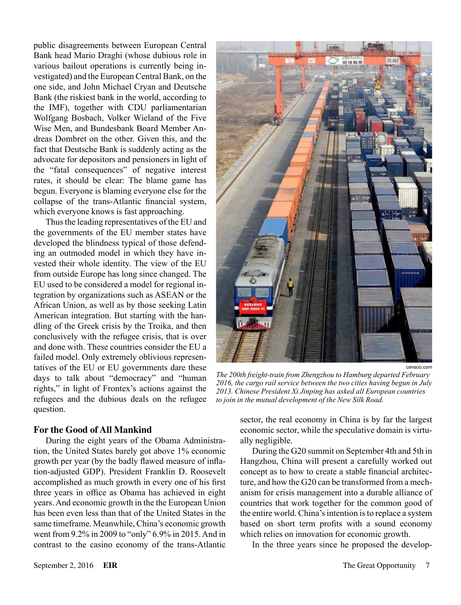public disagreements between European Central Bank head Mario Draghi (whose dubious role in various bailout operations is currently being investigated) and the European Central Bank, on the one side, and John Michael Cryan and Deutsche Bank (the riskiest bank in the world, according to the IMF), together with CDU parliamentarian Wolfgang Bosbach, Volker Wieland of the Five Wise Men, and Bundesbank Board Member Andreas Dombret on the other. Given this, and the fact that Deutsche Bank is suddenly acting as the advocate for depositors and pensioners in light of the "fatal consequences" of negative interest rates, it should be clear: The blame game has begun. Everyone is blaming everyone else for the collapse of the trans-Atlantic financial system, which everyone knows is fast approaching.

Thus the leading representatives of the EU and the governments of the EU member states have developed the blindness typical of those defending an outmoded model in which they have invested their whole identity. The view of the EU from outside Europe has long since changed. The EU used to be considered a model for regional integration by organizations such as ASEAN or the African Union, as well as by those seeking Latin American integration. But starting with the handling of the Greek crisis by the Troika, and then conclusively with the refugee crisis, that is over and done with. These countries consider the EU a failed model. Only extremely oblivious representatives of the EU or EU governments dare these days to talk about "democracy" and "human rights," in light of Frontex's actions against the refugees and the dubious deals on the refugee question.

#### **For the Good of All Mankind**

During the eight years of the Obama Administration, the United States barely got above 1% economic growth per year (by the badly flawed measure of inflation-adjusted GDP). President Franklin D. Roosevelt accomplished as much growth in every one of his first three years in office as Obama has achieved in eight years. And economic growth in the the European Union has been even less than that of the United States in the same timeframe. Meanwhile, China's economic growth went from 9.2% in 2009 to "only" 6.9% in 2015. And in contrast to the casino economy of the trans-Atlantic



censoo.com

*The 200th freight-train from Zhengzhou to Hamburg departed February 2016, the cargo rail service between the two cities having begun in July 2013. Chinese President Xi Jinping has asked all European countries to join in the mutual development of the New Silk Road.*

sector, the real economy in China is by far the largest economic sector, while the speculative domain is virtually negligible.

During the G20 summit on September 4th and 5th in Hangzhou, China will present a carefully worked out concept as to how to create a stable financial architecture, and how the G20 can be transformed from a mechanism for crisis management into a durable alliance of countries that work together for the common good of the entire world. China's intention is to replace a system based on short term profits with a sound economy which relies on innovation for economic growth.

In the three years since he proposed the develop-